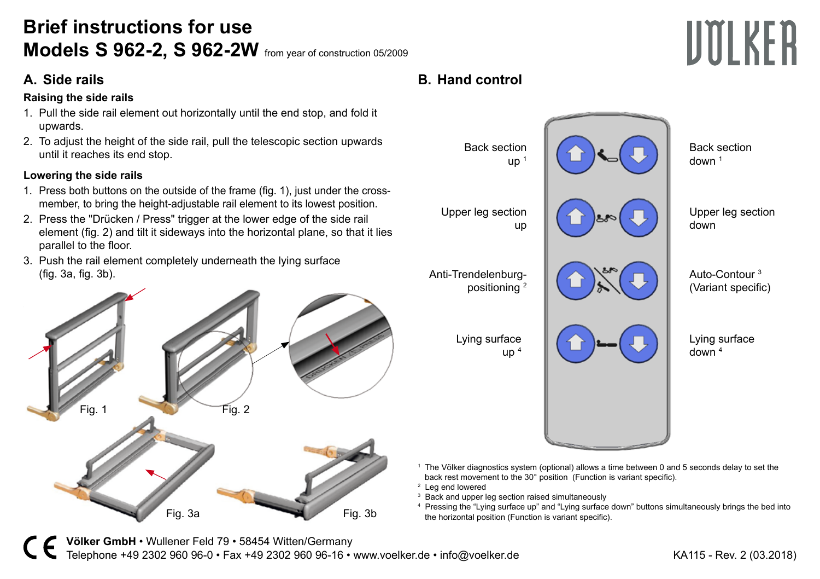# **Brief instructions for use Models S 962-2, S 962-2W** from year of construction 05/2009

# UMI KFR

## **A. Side rails**

#### **Raising the side rails**

- 1. Pull the side rail element out horizontally until the end stop, and fold it upwards.
- 2. To adjust the height of the side rail, pull the telescopic section upwards until it reaches its end stop.

#### **Lowering the side rails**

- 1. Press both buttons on the outside of the frame (fig. 1), just under the crossmember, to bring the height-adjustable rail element to its lowest position.
- 2. Press the "Drücken / Press" trigger at the lower edge of the side rail element (fig. 2) and tilt it sideways into the horizontal plane, so that it lies parallel to the floor.
- 3. Push the rail element completely underneath the lying surface (fig. 3a, fig. 3b).



## **B. Hand control**



- 1 The Völker diagnostics system (optional) allows a time between 0 and 5 seconds delay to set the back rest movement to the 30° position (Function is variant specific).
- 2 Leg end lowered
- 3 Back and upper leg section raised simultaneously
- 4 Pressing the "Lying surface up" and "Lying surface down" buttons simultaneously brings the bed into the horizontal position (Function is variant specific).